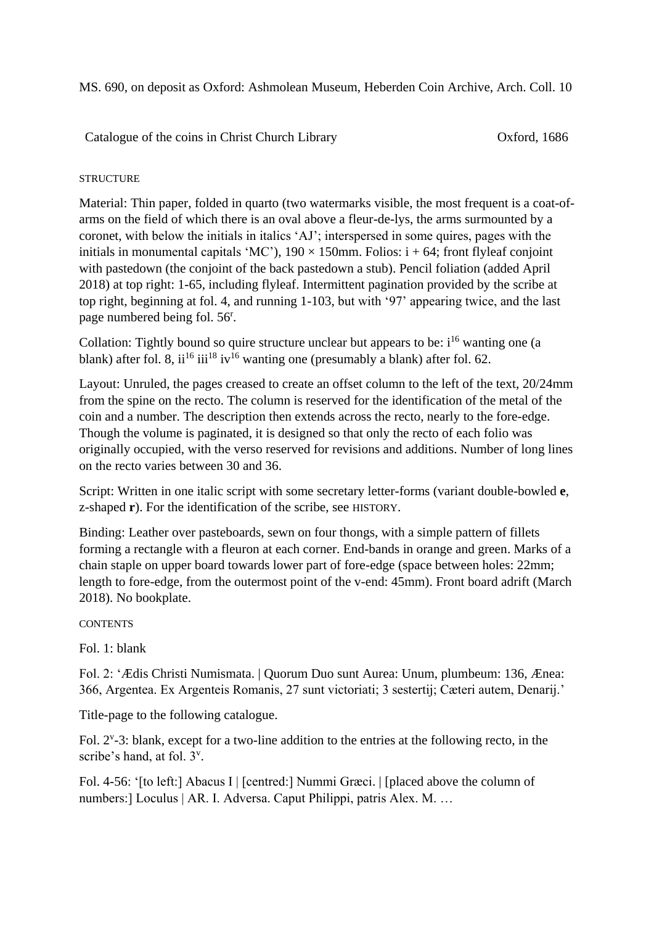MS. 690, on deposit as Oxford: Ashmolean Museum, Heberden Coin Archive, Arch. Coll. 10

Catalogue of the coins in Christ Church Library Oxford, 1686

## **STRUCTURE**

Material: Thin paper, folded in quarto (two watermarks visible, the most frequent is a coat-ofarms on the field of which there is an oval above a fleur-de-lys, the arms surmounted by a coronet, with below the initials in italics 'AJ'; interspersed in some quires, pages with the initials in monumental capitals 'MC'),  $190 \times 150$ mm. Folios: i + 64; front flyleaf conjoint with pastedown (the conjoint of the back pastedown a stub). Pencil foliation (added April 2018) at top right: 1-65, including flyleaf. Intermittent pagination provided by the scribe at top right, beginning at fol. 4, and running 1-103, but with '97' appearing twice, and the last page numbered being fol. 56<sup>r</sup>.

Collation: Tightly bound so quire structure unclear but appears to be:  $i^{16}$  wanting one (a blank) after fol. 8, ii<sup>16</sup> iii<sup>18</sup> iv<sup>16</sup> wanting one (presumably a blank) after fol. 62.

Layout: Unruled, the pages creased to create an offset column to the left of the text, 20/24mm from the spine on the recto. The column is reserved for the identification of the metal of the coin and a number. The description then extends across the recto, nearly to the fore-edge. Though the volume is paginated, it is designed so that only the recto of each folio was originally occupied, with the verso reserved for revisions and additions. Number of long lines on the recto varies between 30 and 36.

Script: Written in one italic script with some secretary letter-forms (variant double-bowled **e**, z-shaped **r**). For the identification of the scribe, see HISTORY.

Binding: Leather over pasteboards, sewn on four thongs, with a simple pattern of fillets forming a rectangle with a fleuron at each corner. End-bands in orange and green. Marks of a chain staple on upper board towards lower part of fore-edge (space between holes: 22mm; length to fore-edge, from the outermost point of the v-end: 45mm). Front board adrift (March 2018). No bookplate.

**CONTENTS** 

Fol. 1: blank

Fol. 2: 'Ædis Christi Numismata. | Quorum Duo sunt Aurea: Unum, plumbeum: 136, Ænea: 366, Argentea. Ex Argenteis Romanis, 27 sunt victoriati; 3 sestertij; Cæteri autem, Denarij.'

Title-page to the following catalogue.

Fol.  $2^{\nu}$ -3: blank, except for a two-line addition to the entries at the following recto, in the scribe's hand, at fol. 3<sup>v</sup>.

Fol. 4-56: '[to left:] Abacus I | [centred:] Nummi Græci. | [placed above the column of numbers:] Loculus | AR. I. Adversa. Caput Philippi, patris Alex. M. …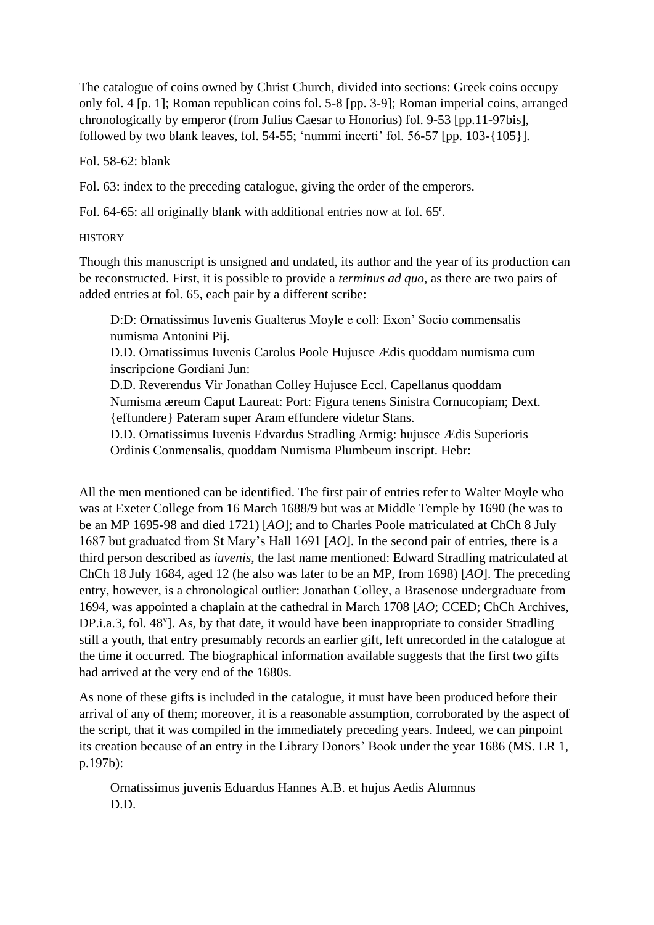The catalogue of coins owned by Christ Church, divided into sections: Greek coins occupy only fol. 4 [p. 1]; Roman republican coins fol. 5-8 [pp. 3-9]; Roman imperial coins, arranged chronologically by emperor (from Julius Caesar to Honorius) fol. 9-53 [pp.11-97bis], followed by two blank leaves, fol. 54-55; 'nummi incerti' fol. 56-57 [pp. 103-{105}].

Fol. 58-62: blank

Fol. 63: index to the preceding catalogue, giving the order of the emperors.

Fol. 64-65: all originally blank with additional entries now at fol. 65<sup>r</sup>.

**HISTORY** 

Though this manuscript is unsigned and undated, its author and the year of its production can be reconstructed. First, it is possible to provide a *terminus ad quo*, as there are two pairs of added entries at fol. 65, each pair by a different scribe:

D:D: Ornatissimus Iuvenis Gualterus Moyle e coll: Exon' Socio commensalis numisma Antonini Pij.

D.D. Ornatissimus Iuvenis Carolus Poole Hujusce Ædis quoddam numisma cum inscripcione Gordiani Jun:

D.D. Reverendus Vir Jonathan Colley Hujusce Eccl. Capellanus quoddam Numisma æreum Caput Laureat: Port: Figura tenens Sinistra Cornucopiam; Dext. {effundere} Pateram super Aram effundere videtur Stans.

D.D. Ornatissimus Iuvenis Edvardus Stradling Armig: hujusce Ædis Superioris Ordinis Conmensalis, quoddam Numisma Plumbeum inscript. Hebr:

All the men mentioned can be identified. The first pair of entries refer to Walter Moyle who was at Exeter College from 16 March 1688/9 but was at Middle Temple by 1690 (he was to be an MP 1695-98 and died 1721) [*AO*]; and to Charles Poole matriculated at ChCh 8 July 1687 but graduated from St Mary's Hall 1691 [*AO*]. In the second pair of entries, there is a third person described as *iuvenis*, the last name mentioned: Edward Stradling matriculated at ChCh 18 July 1684, aged 12 (he also was later to be an MP, from 1698) [*AO*]. The preceding entry, however, is a chronological outlier: Jonathan Colley, a Brasenose undergraduate from 1694, was appointed a chaplain at the cathedral in March 1708 [*AO*; CCED; ChCh Archives, DP.i.a.3, fol. 48<sup>v</sup>]. As, by that date, it would have been inappropriate to consider Stradling still a youth, that entry presumably records an earlier gift, left unrecorded in the catalogue at the time it occurred. The biographical information available suggests that the first two gifts had arrived at the very end of the 1680s.

As none of these gifts is included in the catalogue, it must have been produced before their arrival of any of them; moreover, it is a reasonable assumption, corroborated by the aspect of the script, that it was compiled in the immediately preceding years. Indeed, we can pinpoint its creation because of an entry in the Library Donors' Book under the year 1686 (MS. LR 1, p.197b):

Ornatissimus juvenis Eduardus Hannes A.B. et hujus Aedis Alumnus D.D.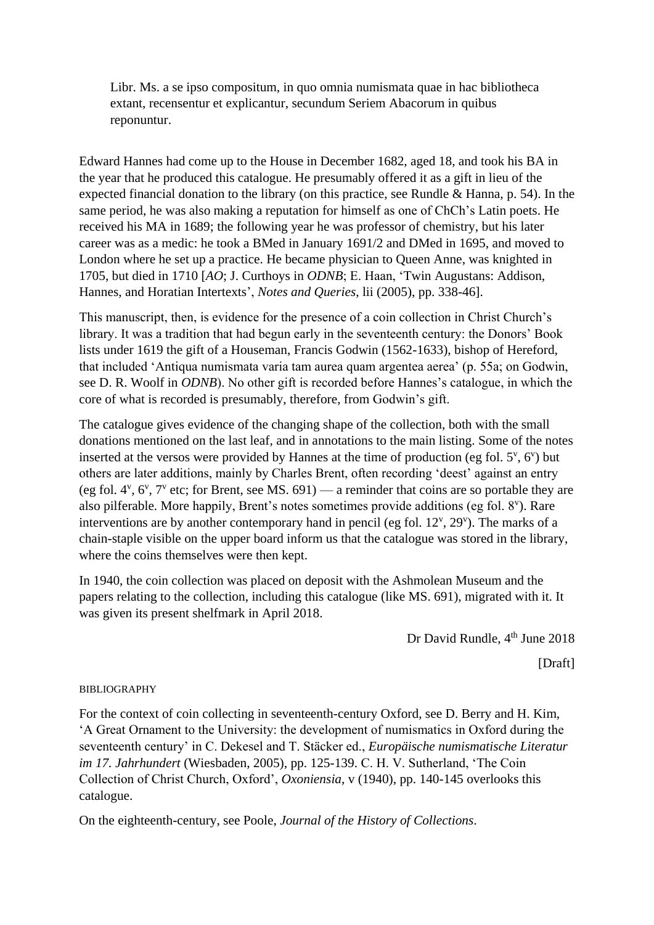Libr. Ms. a se ipso compositum, in quo omnia numismata quae in hac bibliotheca extant, recensentur et explicantur, secundum Seriem Abacorum in quibus reponuntur.

Edward Hannes had come up to the House in December 1682, aged 18, and took his BA in the year that he produced this catalogue. He presumably offered it as a gift in lieu of the expected financial donation to the library (on this practice, see Rundle & Hanna, p.  $54$ ). In the same period, he was also making a reputation for himself as one of ChCh's Latin poets. He received his MA in 1689; the following year he was professor of chemistry, but his later career was as a medic: he took a BMed in January 1691/2 and DMed in 1695, and moved to London where he set up a practice. He became physician to Queen Anne, was knighted in 1705, but died in 1710 [*AO*; J. Curthoys in *ODNB*; E. Haan, 'Twin Augustans: Addison, Hannes, and Horatian Intertexts', *Notes and Queries*, lii (2005), pp. 338-46].

This manuscript, then, is evidence for the presence of a coin collection in Christ Church's library. It was a tradition that had begun early in the seventeenth century: the Donors' Book lists under 1619 the gift of a Houseman, Francis Godwin (1562-1633), bishop of Hereford, that included 'Antiqua numismata varia tam aurea quam argentea aerea' (p. 55a; on Godwin, see D. R. Woolf in *ODNB*). No other gift is recorded before Hannes's catalogue, in which the core of what is recorded is presumably, therefore, from Godwin's gift.

The catalogue gives evidence of the changing shape of the collection, both with the small donations mentioned on the last leaf, and in annotations to the main listing. Some of the notes inserted at the versos were provided by Hannes at the time of production (eg fol.  $5^{\nu}$ ,  $6^{\nu}$ ) but others are later additions, mainly by Charles Brent, often recording 'deest' against an entry (eg fol.  $4^{\nu}$ ,  $6^{\nu}$ ,  $7^{\nu}$  etc; for Brent, see MS. 691) — a reminder that coins are so portable they are also pilferable. More happily, Brent's notes sometimes provide additions (eg fol. 8<sup>v</sup>). Rare interventions are by another contemporary hand in pencil (eg fol.  $12^{\nu}$ ,  $29^{\nu}$ ). The marks of a chain-staple visible on the upper board inform us that the catalogue was stored in the library, where the coins themselves were then kept.

In 1940, the coin collection was placed on deposit with the Ashmolean Museum and the papers relating to the collection, including this catalogue (like MS. 691), migrated with it. It was given its present shelfmark in April 2018.

Dr David Rundle, 4<sup>th</sup> June 2018

[Draft]

## BIBLIOGRAPHY

For the context of coin collecting in seventeenth-century Oxford, see D. Berry and H. Kim, 'A Great Ornament to the University: the development of numismatics in Oxford during the seventeenth century' in C. Dekesel and T. Stäcker ed., *Europäische numismatische Literatur im 17. Jahrhundert* (Wiesbaden, 2005), pp. 125-139. C. H. V. Sutherland, 'The Coin Collection of Christ Church, Oxford', *Oxoniensia*, v (1940), pp. 140-145 overlooks this catalogue.

On the eighteenth-century, see Poole, *Journal of the History of Collections*.